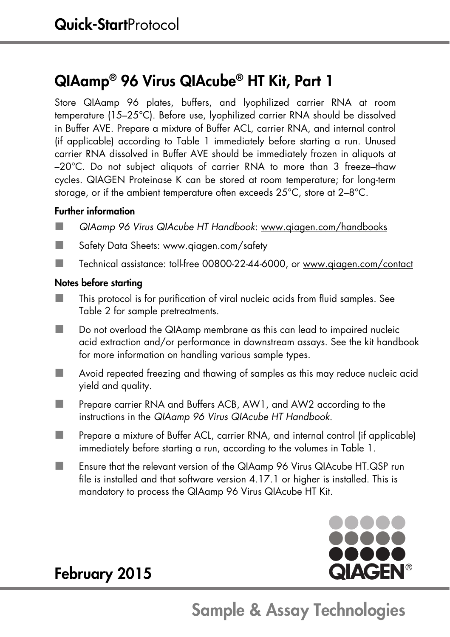### QIAamp® 96 Virus QIAcube® HT Kit, Part 1

Store QIAamp 96 plates, buffers, and lyophilized carrier RNA at room temperature (15–25°C). Before use, lyophilized carrier RNA should be dissolved in Buffer AVE. Prepare a mixture of Buffer ACL, carrier RNA, and internal control (if applicable) according to Table 1 immediately before starting a run. Unused carrier RNA dissolved in Buffer AVE should be immediately frozen in aliquots at –20°C. Do not subject aliquots of carrier RNA to more than 3 freeze–thaw cycles. QIAGEN Proteinase K can be stored at room temperature; for long-term storage, or if the ambient temperature often exceeds 25°C, store at 2–8°C.

### Further information

- QIAamp 96 Virus QIAcube HT Handbook: www.qiagen.com/handbooks
- Safety Data Sheets: www.giagen.com/safety
- Technical assistance: toll-free 00800-22-44-6000, or www.qiagen.com/contact

### Notes before starting

- This protocol is for purification of viral nucleic acids from fluid samples. See Table 2 for sample pretreatments.
- Do not overload the QIAamp membrane as this can lead to impaired nucleic acid extraction and/or performance in downstream assays. See the kit handbook for more information on handling various sample types.
- Avoid repeated freezing and thawing of samples as this may reduce nucleic acid yield and quality.
- **Prepare carrier RNA and Buffers ACB, AW1, and AW2 according to the** instructions in the QIAamp 96 Virus QIAcube HT Handbook.
- Prepare a mixture of Buffer ACL, carrier RNA, and internal control (if applicable) immediately before starting a run, according to the volumes in Table 1.
- Ensure that the relevant version of the QIAamp 96 Virus QIAcube HT.QSP run file is installed and that software version 4.17.1 or higher is installed. This is mandatory to process the QIAamp 96 Virus QIAcube HT Kit.



## February 2015

# Sample & Assay Technologies